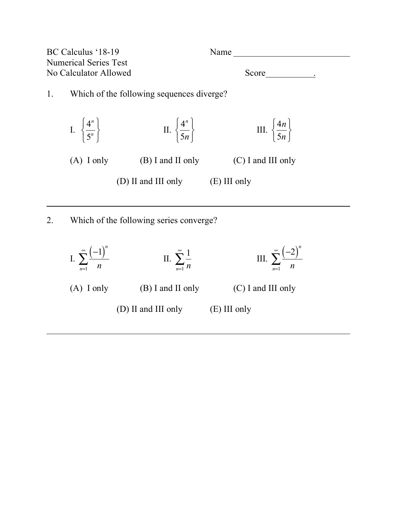

(D) II and III only (E) III only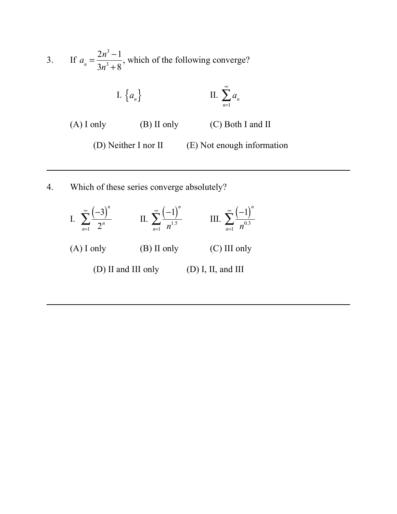3. If  $a_n = \frac{2n^3 - 1}{2n^3 + 8}$ , which of the following converge? I.  $\{a_n\}$  **II.**  $\sum a_n$ (A) I only  $(B)$  II only  $(C)$  Both I and II (D) Neither I nor II (E) Not enough information  $3n^3 + 8$ *n*=1  $\sum^{\infty}$ 

4. Which of these series converge absolutely?

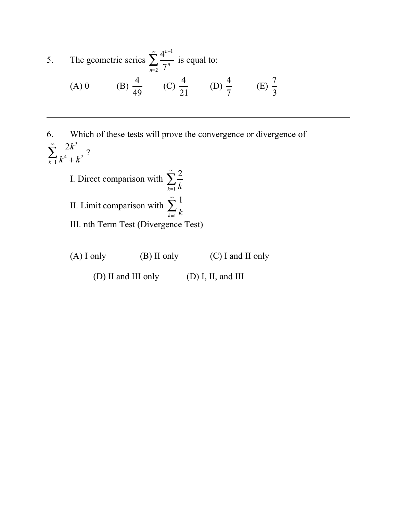5. The geometric series 
$$
\sum_{n=2}^{\infty} \frac{4^{n-1}}{7^n}
$$
 is equal to:  
\n(A) 0 \t(B)  $\frac{4}{49}$  \t(C)  $\frac{4}{21}$  \t(D)  $\frac{4}{7}$  \t(E)  $\frac{7}{3}$ 

6. Which of these tests will prove the convergence or divergence of ? I. Direct comparison with II. Limit comparison with III. nth Term Test (Divergence Test) (A) I only (B) II only (C) I and II only (D) II and III only (D) I, II, and III  $2k^3$  $\sum_{k=1}^{4} k^4 + k^2$  $\sum^{\infty}$ 2  $\sum_{k=1}$   $k$  $\sum^{\infty}$ 1  $\sum_{k=1}$   $k$  $\sum^{\infty}$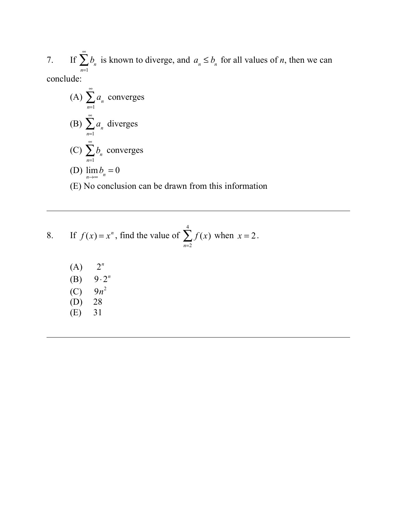7. If  $\sum b_n$  is known to diverge, and  $a_n \leq b_n$  for all values of *n*, then we can conclude: *n*=1  $\sum_{n=0}^{\infty} b_n$  is known to diverge, and  $a_n \leq b_n$ 

\n- (A) 
$$
\sum_{n=1}^{\infty} a_n
$$
 converges
\n- (B)  $\sum_{n=1}^{\infty} a_n$  diverges
\n- (C)  $\sum_{n=1}^{\infty} b_n$  converges
\n- (D)  $\lim_{n \to \infty} b_n = 0$
\n- (E) No conclusion can be drawn from this information
\n

8. If 
$$
f(x) = x^n
$$
, find the value of  $\sum_{n=2}^{4} f(x)$  when  $x = 2$ .

| (A) | $2^n$         |
|-----|---------------|
| (B) | $9 \cdot 2^n$ |
| (C) | $9n^2$        |
| (D) | 28            |
| (E) | 31            |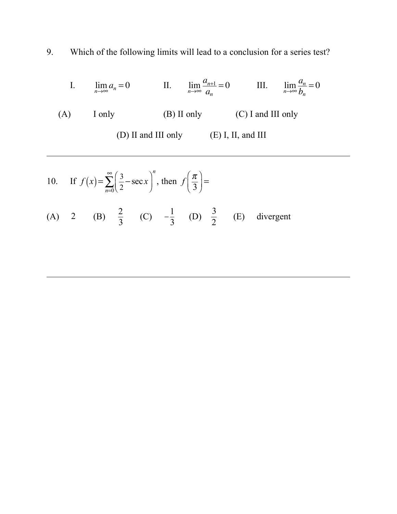9. Which of the following limits will lead to a conclusion for a series test?

I. 
$$
\lim_{n \to \infty} a_n = 0
$$
 II.  $\lim_{n \to \infty} \frac{a_{n+1}}{a_n} = 0$  III.  $\lim_{n \to \infty} \frac{a_n}{b_n} = 0$   
(A) I only (B) II only (C) I and III only  
(D) II and III only (E) I, II, and III

10. If 
$$
f(x) = \sum_{n=0}^{\infty} \left(\frac{3}{2} - \sec x\right)^n
$$
, then  $f\left(\frac{\pi}{3}\right) =$   
\n(A) 2 (B)  $\frac{2}{3}$  (C)  $-\frac{1}{3}$  (D)  $\frac{3}{2}$  (E) divergent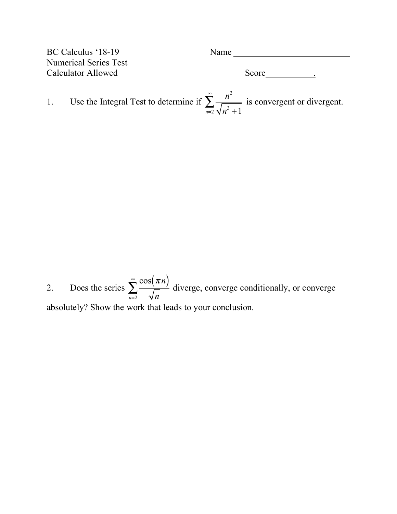| BC Calculus '18-19           | Name  |  |
|------------------------------|-------|--|
| <b>Numerical Series Test</b> |       |  |
| Calculator Allowed           | Score |  |
|                              |       |  |

1. Use the Integral Test to determine if  $\sum_{n=1}^{\infty}$  is convergent or divergent. *n* 2  $\sum_{n=2}$   $\sqrt{n^3+1}$  $\sum^{\infty}$ 

2. Does the series  $\sum_{n=1}^{\infty}$  diverge, converge conditionally, or converge absolutely? Show the work that leads to your conclusion.  $\cos(\pi n)$  $\sum_{n=2}$   $\sqrt{n}$  $\sum^{\infty}$